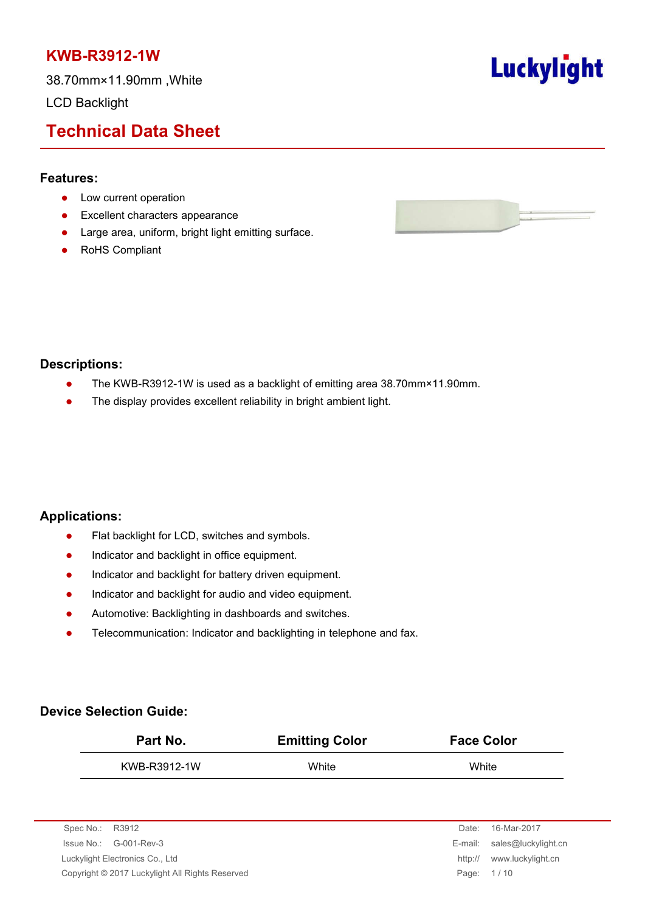38.70mm×11.90mm ,White

LCD Backlight

# **Technical Data Sheet**

### **Features:**

- Low current operation
- **•** Excellent characters appearance
- Large area, uniform, bright light emitting surface.
- RoHS Compliant

### **Descriptions:**

- The KWB-R3912-1W is used as a backlight of emitting area 38.70mm×11.90mm.
- The display provides excellent reliability in bright ambient light.

### **Applications:**

- Flat backlight for LCD, switches and symbols.
- Indicator and backlight in office equipment.
- Indicator and backlight for battery driven equipment.
- Indicator and backlight for audio and video equipment.
- **•** Automotive: Backlighting in dashboards and switches.
- Telecommunication: Indicator and backlighting in telephone and fax.

### **Device Selection Guide:**

| Part No.     | <b>Emitting Color</b><br><b>Face Color</b> |       |
|--------------|--------------------------------------------|-------|
| KWB-R3912-1W | White                                      | White |

| Spec No.: R3912                                 | Date:      | 16-Mar-2017                 |
|-------------------------------------------------|------------|-----------------------------|
| $\ssue No.: \qquad G-001-Rev-3$                 |            | E-mail: sales@luckylight.cn |
| Luckylight Electronics Co., Ltd                 | http://    | www.luckylight.cn           |
| Copyright © 2017 Luckylight All Rights Reserved | Page: 1/10 |                             |
|                                                 |            |                             |



# **Luckylight**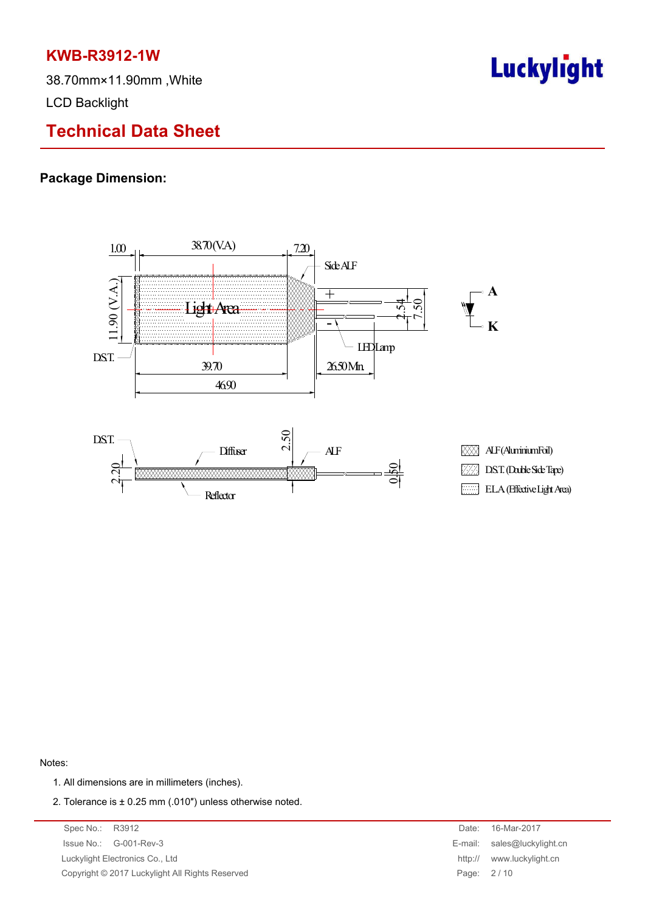38.70mm×11.90mm ,White LCD Backlight

# Luckylight

# **Technical Data Sheet**

### **Package Dimension:**



#### Notes:

- 1. All dimensions are in millimeters (inches).
- 2. Tolerance is ± 0.25 mm (.010″) unless otherwise noted.

Spec No.: R3912 Date: 16-Mar-2017 Issue No.: G-001-Rev-3 E-mail: sales@luckylight.cn Luckylight Electronics Co., Ltd **http://** www.luckylight.cn Copyright © 2017 Luckylight All Rights Reserved Page: 2/10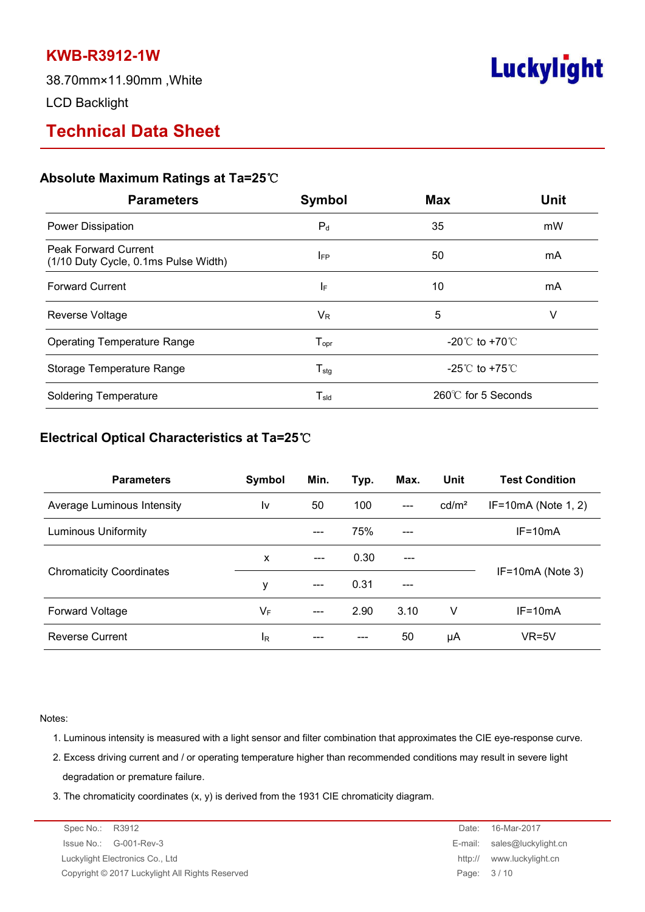38.70mm×11.90mm ,White

LCD Backlight

# **Technical Data Sheet**

### **Absolute Maximum Ratings at Ta=25**℃

| <b>Parameters</b>                                                   | Symbol                                        | <b>Max</b>                         | <b>Unit</b> |
|---------------------------------------------------------------------|-----------------------------------------------|------------------------------------|-------------|
| Power Dissipation                                                   | $P_d$                                         | 35                                 | mW          |
| <b>Peak Forward Current</b><br>(1/10 Duty Cycle, 0.1ms Pulse Width) | <b>IFP</b>                                    | 50                                 | mA          |
| <b>Forward Current</b>                                              | IF.                                           | 10                                 | mA          |
| Reverse Voltage                                                     | $V_{R}$                                       | 5                                  | V           |
| <b>Operating Temperature Range</b>                                  | ${\mathsf T}_{\mathsf{opr}}$                  | $-20^{\circ}$ C to $+70^{\circ}$ C |             |
| Storage Temperature Range                                           | ${\mathsf T}_{\text{stg}}$                    | $-25^{\circ}$ C to $+75^{\circ}$ C |             |
| <b>Soldering Temperature</b>                                        | $\mathsf{T}_{\mathsf{s}\mathsf{l}\mathsf{d}}$ | $260^{\circ}$ C for 5 Seconds      |             |

Luckylight

### **Electrical Optical Characteristics at Ta=25**℃

| <b>Parameters</b>               | Symbol | Min.  | Typ. | Max.  | Unit              | <b>Test Condition</b> |  |
|---------------------------------|--------|-------|------|-------|-------------------|-----------------------|--|
| Average Luminous Intensity      | I٧     | 50    | 100  | $---$ | cd/m <sup>2</sup> | $IF=10mA$ (Note 1, 2) |  |
| <b>Luminous Uniformity</b>      |        | ---   | 75%  | ---   |                   | $IF = 10mA$           |  |
| <b>Chromaticity Coordinates</b> | X      | $---$ | 0.30 | ---   |                   |                       |  |
|                                 | у      | $---$ | 0.31 |       |                   | IF=10mA (Note 3)      |  |
| Forward Voltage                 | VF     | $---$ | 2.90 | 3.10  | V                 | $IF=10mA$             |  |
| <b>Reverse Current</b>          | IR.    |       |      | 50    | μA                | $VR=5V$               |  |

#### Notes:

- 1. Luminous intensity is measured with a light sensor and filter combination that approximates the CIE eye-response curve.
- 2. Excess driving current and / or operating temperature higher than recommended conditions may result in severe light degradation or premature failure.
- 3. The chromaticity coordinates (x, y) is derived from the 1931 CIE chromaticity diagram.

| Spec No.: R3912                                 | Date:      | 16-Mar-2017                 |
|-------------------------------------------------|------------|-----------------------------|
| $\ssue No.: \, G-001-Rev-3$                     |            | E-mail: sales@luckylight.cn |
| Luckylight Electronics Co., Ltd                 | http://    | www.luckylight.cn           |
| Copyright © 2017 Luckylight All Rights Reserved | Page: 3/10 |                             |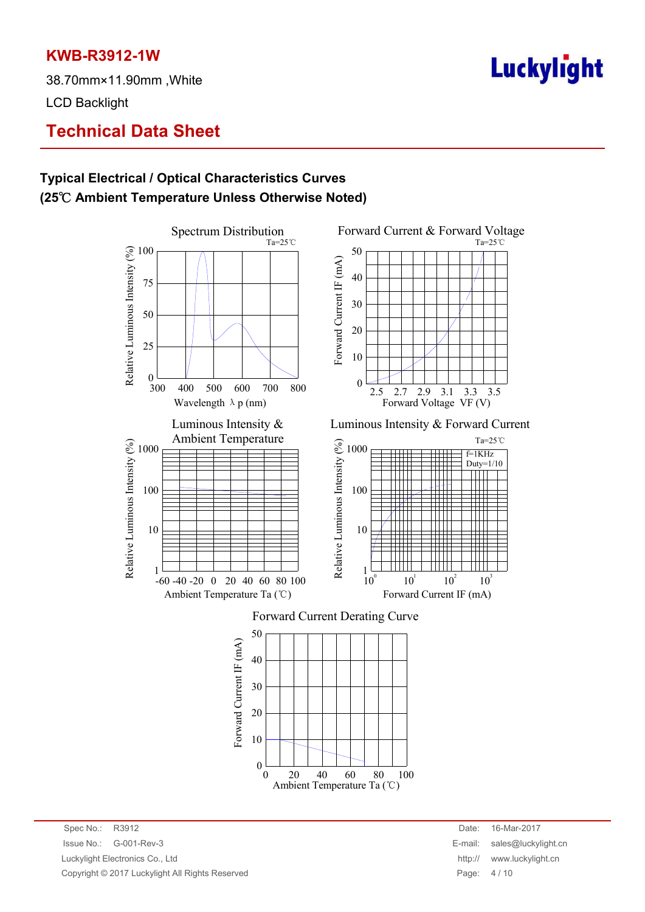38.70mm×11.90mm ,White LCD Backlight

# **Luckylight**

## **Technical Data Sheet**

## **Typical Electrical / Optical Characteristics Curves (25**℃ **Ambient Temperature Unless Otherwise Noted)**

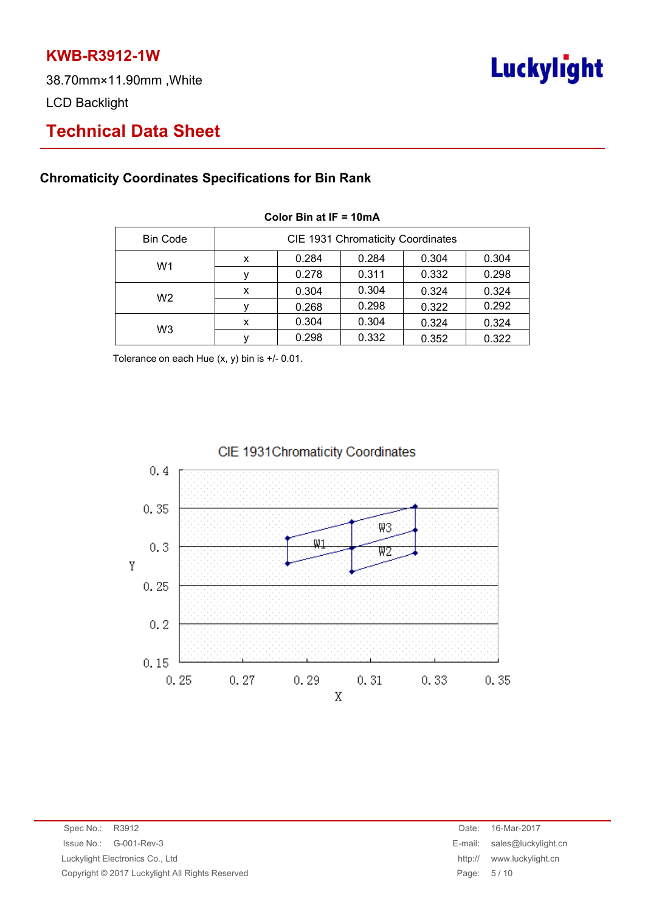38.70mm×11.90mm ,White LCD Backlight



# **Technical Data Sheet**

### **Chromaticity Coordinates Specifications for Bin Rank**

| <b>Bin Code</b> | <b>CIE 1931 Chromaticity Coordinates</b> |       |       |       |       |
|-----------------|------------------------------------------|-------|-------|-------|-------|
| W1              | x                                        | 0.284 | 0.284 | 0.304 | 0.304 |
|                 |                                          | 0.278 | 0.311 | 0.332 | 0.298 |
| W <sub>2</sub>  | x                                        | 0.304 | 0.304 | 0.324 | 0.324 |
|                 |                                          | 0.268 | 0.298 | 0.322 | 0.292 |
| W <sub>3</sub>  | x                                        | 0.304 | 0.304 | 0.324 | 0.324 |
|                 |                                          | 0.298 | 0.332 | 0.352 | 0.322 |

#### **Color Bin at IF = 10mA**

Tolerance on each Hue (x, y) bin is +/- 0.01.



### CIE 1931 Chromaticity Coordinates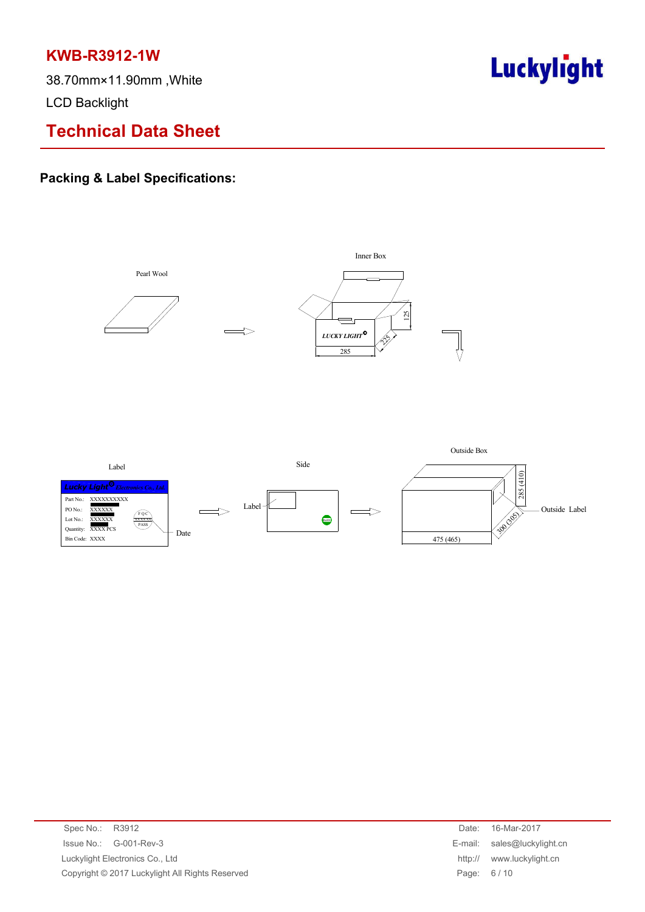38.70mm×11.90mm ,White LCD Backlight

# **Luckylight**

# **Technical Data Sheet**

## **Packing & Label Specifications:**



 $\frac{1}{2}$   $\frac{475 (465)}{475 (465)}$ 

| Spec No.: R3912                                 | Date:   | 16-Mar-2017                 |
|-------------------------------------------------|---------|-----------------------------|
| $\ssue No.: \, G-001-Rev-3$                     |         | E-mail: sales@luckylight.cn |
| Luckylight Electronics Co., Ltd                 | http:// | www.luckylight.cn           |
| Copyright © 2017 Luckylight All Rights Reserved |         | Page: 6/10                  |
|                                                 |         |                             |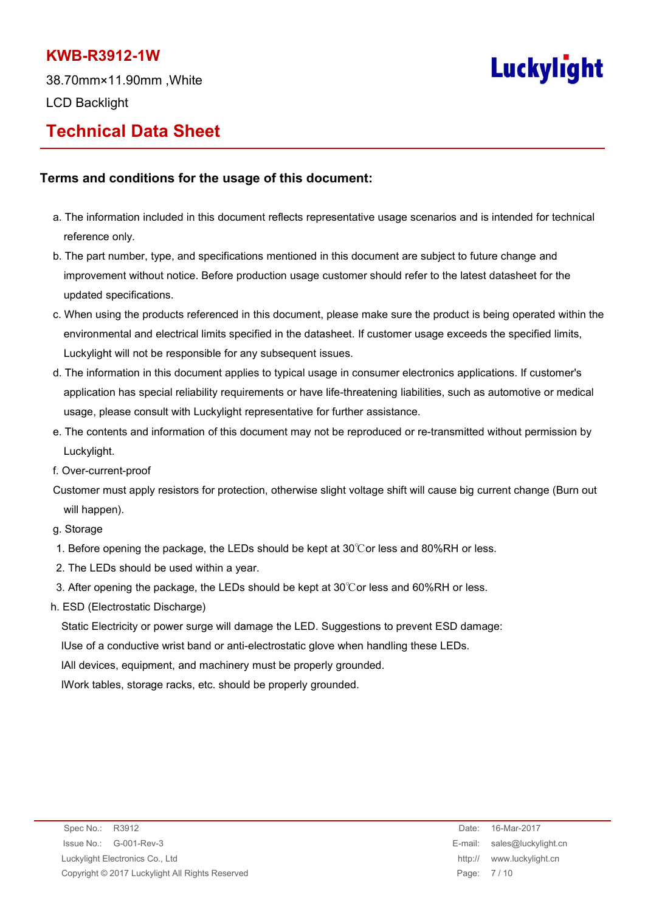38.70mm×11.90mm ,White LCD Backlight

# **Luckylight**

# **Technical Data Sheet**

### **Terms and conditions for the usage of this document:**

- a. The information included in this document reflects representative usage scenarios and is intended for technical reference only.
- b. The part number, type, and specifications mentioned in this document are subject to future change and improvement without notice. Before production usage customer should refer to the latest datasheet for the updated specifications.
- c. When using the products referenced in this document, please make sure the product is being operated within the environmental and electrical limits specified in the datasheet. If customer usage exceeds the specified limits, Luckylight will not be responsible for any subsequent issues.
- d. The information in this document applies to typical usage in consumer electronics applications. If customer's application has special reliability requirements or have life-threatening liabilities, such as automotive or medical usage, please consult with Luckylight representative for further assistance.
- e. The contents and information of this document may not be reproduced or re-transmitted without permission by Luckylight.
- f. Over-current-proof
- Customer must apply resistors for protection, otherwise slight voltage shift will cause big current change (Burn out will happen).
- g. Storage
- 1. Before opening the package, the LEDs should be kept at 30℃or less and 80%RH or less.
- 2. The LEDs should be used within a year.
- 3. After opening the package, the LEDs should be kept at 30℃or less and 60%RH or less.
- h. ESD (Electrostatic Discharge)

Static Electricity or power surge will damage the LED. Suggestions to prevent ESD damage:

lUse of a conductive wrist band or anti-electrostatic glove when handling these LEDs.

lAll devices, equipment, and machinery must be properly grounded.

lWork tables, storage racks, etc. should be properly grounded.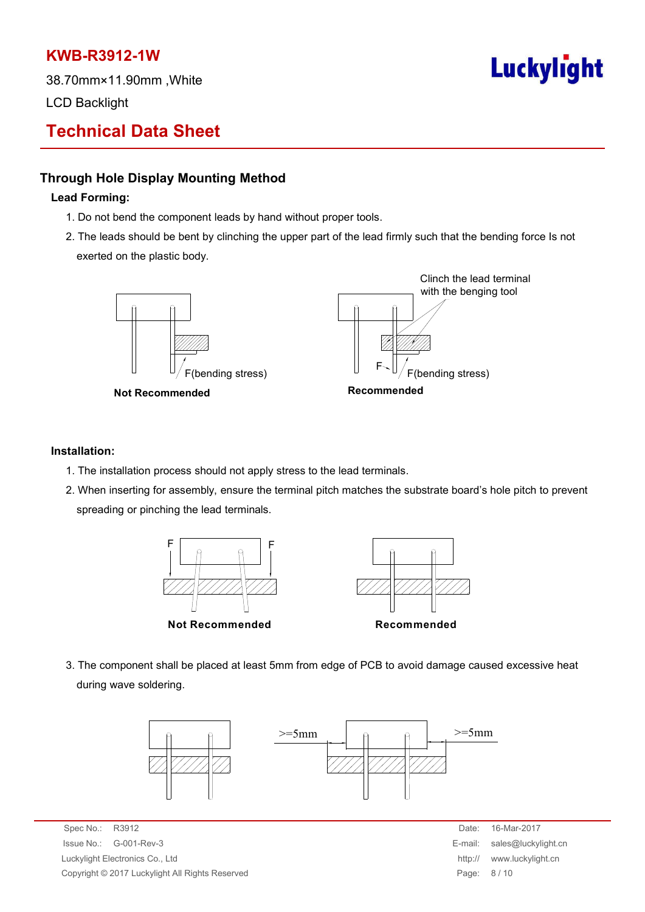38.70mm×11.90mm ,White

LCD Backlight

# **Luckylight**

# **Technical Data Sheet**

### **Through Hole Display Mounting Method**

### **Lead Forming:**

- 1. Do not bend the component leads by hand without proper tools.
- 2. The leads should be bent by clinching the upper part of the lead firmly such that the bending force Is not exerted on the plastic body.



#### **Installation:**

- 1. The installation process should not apply stress to the lead terminals.
- 2. When inserting for assembly, ensure the terminal pitch matches the substrate board's hole pitch to prevent spreading or pinching the lead terminals.



3. The component shall be placed at least 5mm from edge of PCB to avoid damage caused excessive heat during wave soldering.



Spec No.: R3912 Date: 16-Mar-2017 Issue No.: G-001-Rev-3 E-mail: sales@luckylight.cn Luckylight Electronics Co., Ltd **http://** www.luckylight.cn Copyright © 2017 Luckylight All Rights Reserved **Page: 8 / 10** Page: 8 / 10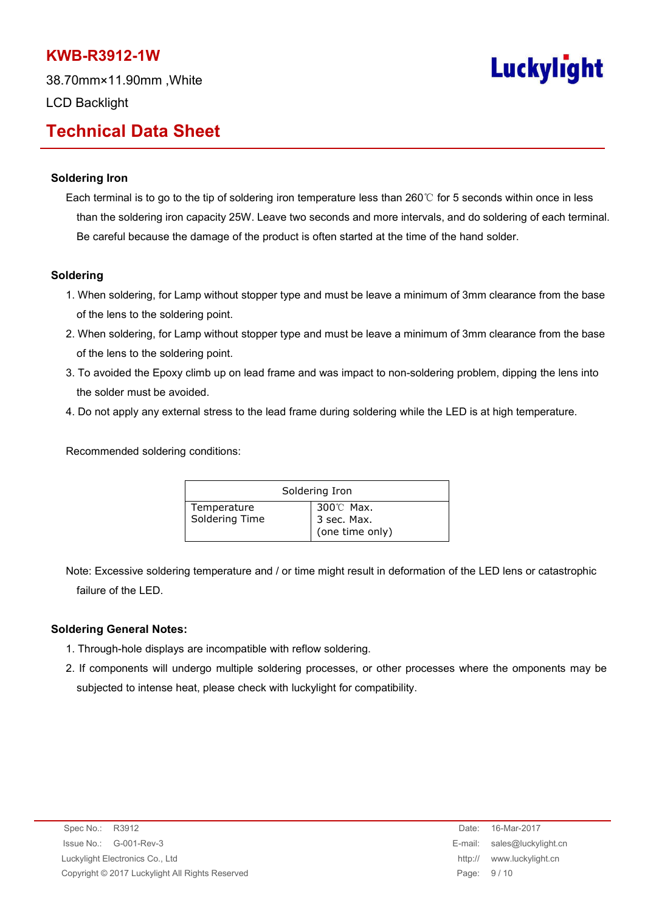38.70mm×11.90mm ,White LCD Backlight

# **Luckylight**

## **Technical Data Sheet**

### **Soldering Iron**

Each terminal is to go to the tip of soldering iron temperature less than 260℃ for 5 seconds within once in less than the soldering iron capacity 25W. Leave two seconds and more intervals, and do soldering of each terminal. Be careful because the damage of the product is often started at the time of the hand solder.

#### **Soldering**

- 1. When soldering, for Lamp without stopper type and must be leave a minimum of 3mm clearance from the base of the lens to the soldering point.
- 2. When soldering, for Lamp without stopper type and must be leave a minimum of 3mm clearance from the base of the lens to the soldering point.
- 3. To avoided the Epoxy climb up on lead frame and was impact to non-soldering problem, dipping the lens into the solder must be avoided.
- 4. Do not apply any external stress to the lead frame during soldering while the LED is at high temperature.

Recommended soldering conditions:

| Soldering Iron                |                                             |  |
|-------------------------------|---------------------------------------------|--|
| Temperature<br>Soldering Time | 300℃ Max.<br>3 sec. Max.<br>(one time only) |  |

Note: Excessive soldering temperature and / or time might result in deformation of the LED lens or catastrophic failure of the LED.

#### **Soldering General Notes:**

- 1. Through-hole displays are incompatible with reflow soldering.
- 2. If components will undergo multiple soldering processes, or other processes where the omponents may be subjected to intense heat, please check with luckylight for compatibility.